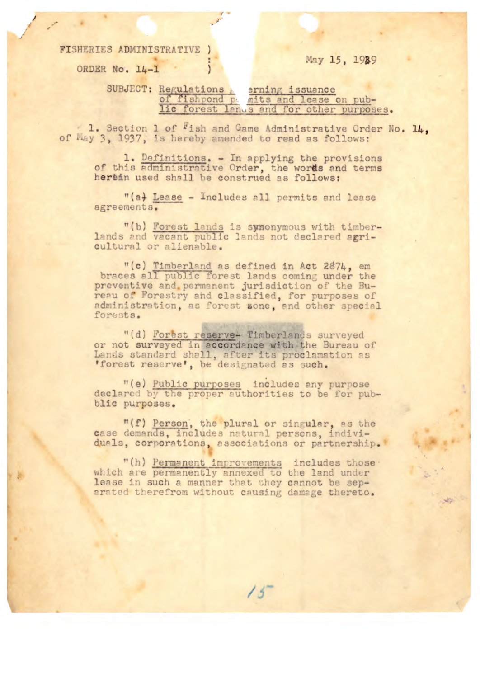FISHERIES ADMINISTRATIVE

ORDER No. 14-1

May 15, 1989

Regulations & arning issuance<br>of fishpond permits and lease on pub-<br>lic forest langs and for other purposes. SUBJECT: Regulations

1. Section 1 of Fish and Game Administrative Order No. 14. of May 3, 1937, is hereby amended to read as follows:

1. Definitions. - In applying the provisions<br>of this administrative Order, the words and terms<br>herein used shall be construed as follows:

"(a) Lease - Includes all permits and lease agreements.

"(b) Forest lands is synonymous with timberlands and vacant public lands not declared agricultural or alienable.

"(c) Timberland as defined in Act 2874, em<br>braces all public forest lands coming under the<br>preventive and permanent jurisdiction of the Bureau of Forestry and classified, for purposes of administration, as forest zone, and other special forests.

"(d) Forest reserve- Timberlands surveyed or not surveyed in accordance with the Bureau of Lands standard shall, after its proclamation as 'forest reserve', be designated as such.

"(e) Public purposes includes any purpose declared by the proper authorities to be for pubblic purposes.

"(f) Person, the plural or singular, as the case demands, includes natural persons, individuals, corporations, associations or partnership.

"(h) Permanent improvements includes those . which are permanently annexed to the land under lease in such a manner that they cannot be separated therefrom without causing damage thereto.

 $15^{-}$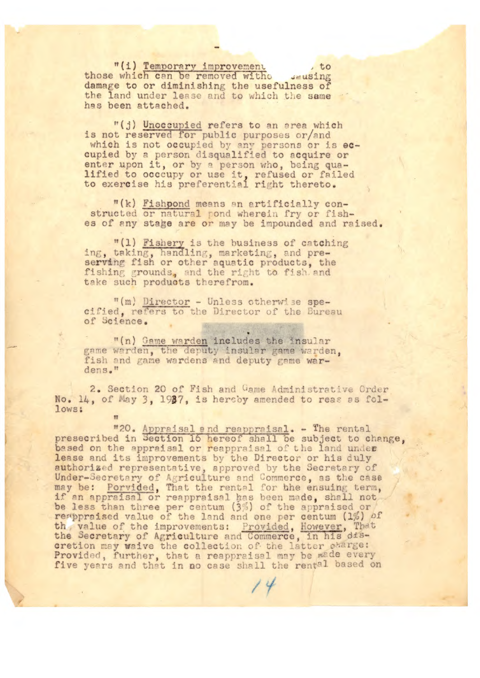"(i) Temporary improvement  $, to$ those which can be removed witho sausing damage to or diminishing the usefulness of the land under lease and to which the same has been attached.

"(j) Unoccupied refers to an area which is not reserved for public purposes or/and which is not occupied by any persons or is eccupied by a person disqualified to acquire or enter upon it, or by a person who, being qualified to occupy or use it, refused or failed<br>to exercise his preferential right thereto.

"(k) Fishpond means an artificially constructed or natural pond wherein fry or fishes of any stage are or may be impounded and raised.

"(1) Fishery is the business of catching ing, taking, handling, marketing, and preserving fish or other aquatic products, the fishing grounds, and the right to fish and take such products therefrom.

"(m) Director - Unless otherwise spe-<br>cified, refers to the Director of the Bureau of Science.

"(n) Game warden includes the insular game warden, the deputy insular game warden, fish and game wardens and deputy game wardens."

2. Section 20 of Fish and Game Administrative Order No. 14, of May 3, 1937, is hereby amended to reas as follows:

"20. Appraisal and reappraisal. - The rental<br>presecribed in Section 16 hereof shall be subject to change, based on the appraisal or reappraisal of the land under lease and its improvements by the Director or his duly authorized representative, approved by the Secretary of Under-Secretary of Agriculture and Commerce, as the case<br>may be: <u>Porvided</u>, That the rental for the ensuing term,<br>if an appraisal or reappraisal has been made, shall not<br>be less than three per centum (3%) of the appraised resppraised value of the land and one per centum (1%) of th, value of the improvements: Provided, However, That the Secretary of Agriculture and Commerce, in his dis-<br>cretion may waive the collection of the latter charge:<br>Provided, further, that a reappraisal may be made every<br>five years and that in no case shall the rental based on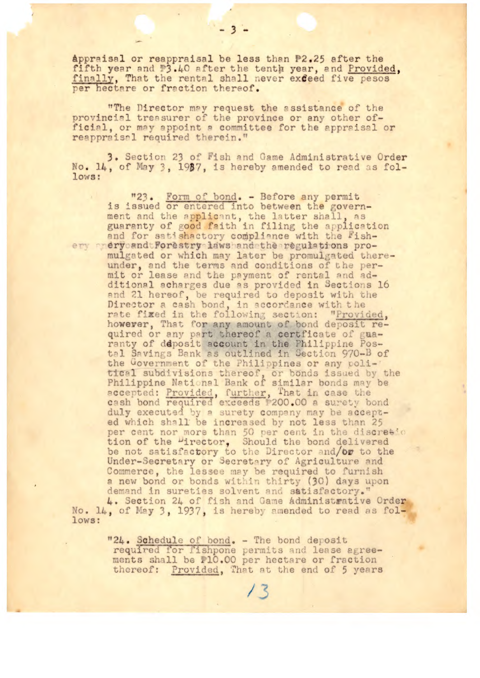appraisal or reappraisal be less than P2.25 after the fifth year and #3.40 after the tenth year, and Provided, finally, That the rental shall never exceed five pesos per hectare or fraction thereof.

 $-3.$ 

"The Director may request the assistance of the provincial treasurer of the province or any other official, or may appoint a committee for the appraisal or reappraisal required therein."

3. Section 23 of Fish and Game Administrative Order No. 14, of May 3, 1987, is hereby amended to read as fol $lows$ :

"23. Form of bond. - Before any permit is issued or entered into between the government and the applicant, the latter shall, as<br>guaranty of good faith in filing the application and for satishactory compliance with the Fishery andrycandtForestry lawshandethe regulations promulgated or which may later be promulgated thereunder, and the terms and conditions of the per-<br>mit or lease and the payment of rental and additional acharges due as provided in Sections 16 and 21 hereof, be required to deposit with the Director a cash bond, in accordance with the rate fixed in the following section: "Provided, however, That for any amount of bond deposit required or any part thereof a certficate of guaranty of deposit account in the Philippine Postal Savings Bank as outlined in Section 970-B of the Government of the Philippines or any political subdivisions thereof, or bonds issued by the Philippine National Bank of similar bonds may be accepted: Provided, further, That in case the cash bond required exceeds #200.00 a surety bond duly executed by a surety company may be accepted which shall be increased by not less than 25 per cent nor more than 50 per cent in the discretion tion of the "irector, Should the bond delivered<br>be not satisfactory to the Director and/or to the<br>Under-Secretary or Secretary of Agriculture and Commerce, the lessee may be required to furnish a new bond or bonds within thirty (30) days upon demand in sureties solvent and satisfactory." 4. Section 24 of fish and Game Administrative Order No. 14, of May 3, 1937, is hereby amended to read as fol-

lows:

"24. Schedule of bond. - The bond deposit required for fishpone permits and lease agreements shall be #10.00 per hectare or fraction thereof: Provided, That at the end of 5 years